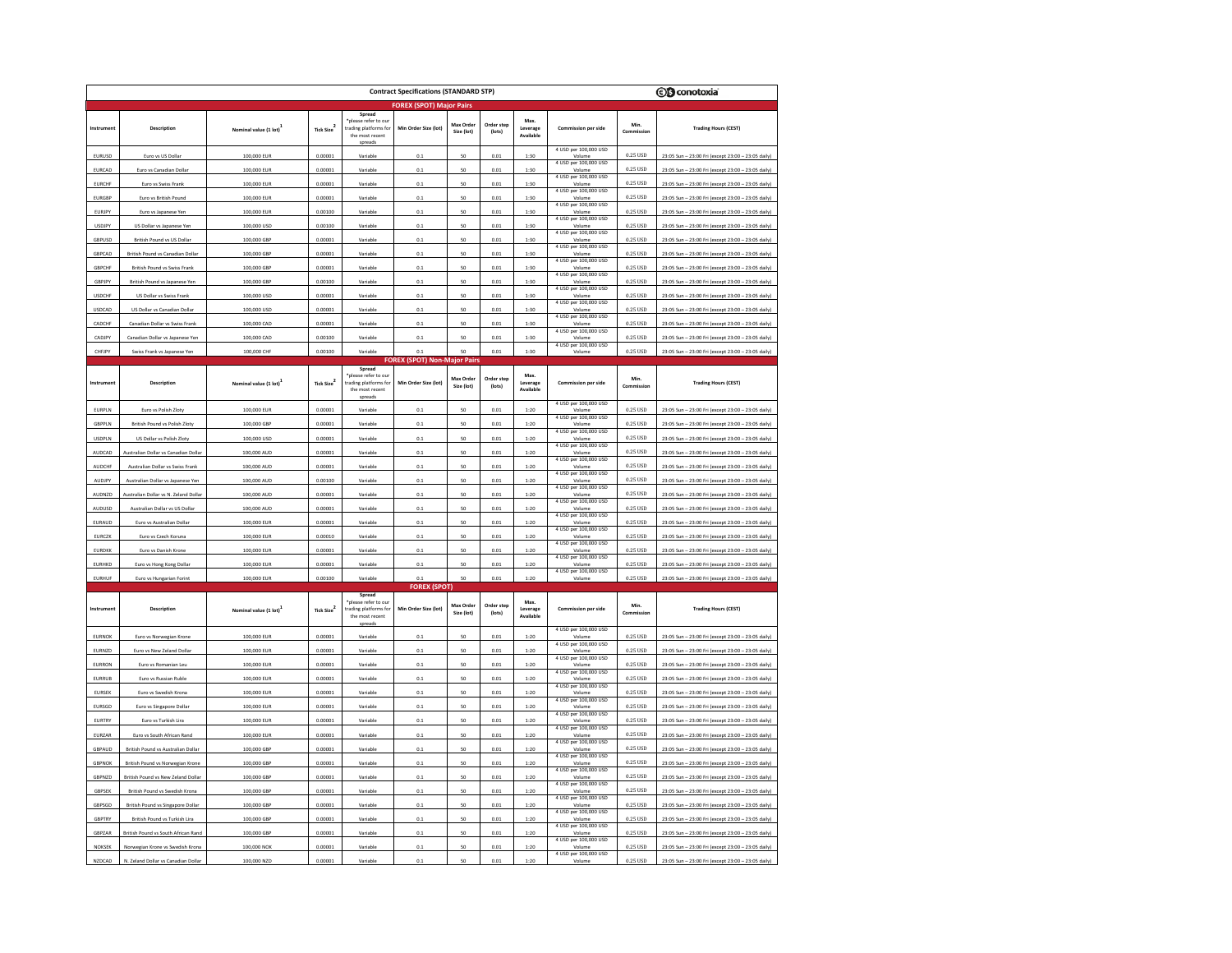|               | <b>Contract Specifications (STANDARD STP)</b> |                       |                        |                                                                                       |                                             |                         |                      |                               | <b><i>S</i></b> conotoxia                                |                     |                                                         |
|---------------|-----------------------------------------------|-----------------------|------------------------|---------------------------------------------------------------------------------------|---------------------------------------------|-------------------------|----------------------|-------------------------------|----------------------------------------------------------|---------------------|---------------------------------------------------------|
|               | <b>FOREX (SPOT) Major Pairs</b>               |                       |                        |                                                                                       |                                             |                         |                      |                               |                                                          |                     |                                                         |
| Instrument    | Description                                   | Nominal value (1 lot) | Tick Size <sup>2</sup> | Spread<br>please refer to ou<br>trading platforms for<br>the most recent<br>spreads   | Min Order Size (lot)                        | Max Order<br>Size (lot) | Order step<br>(lots) | Max.<br>Leverage<br>Available | <b>Commission per side</b>                               | Min.<br>mmission    | <b>Trading Hours (CEST)</b>                             |
| EURUSD        | Euro vs US Dollar                             | 100,000 EUR           | 0.00001                | Variable                                                                              | 0.1                                         | 50                      | 0.01                 | 1:30                          | 4 USD per 100,000 USD<br>Volume<br>4 USD per 100,000 USD | 0.25 USD            | 23:05 Sun - 23:00 Fri (except 23:00 - 23:05 daily)      |
| EURCAD        | Euro ys Canadian Dollar                       | 100,000 EUR           | 0.00001                | Variable                                                                              | 0.1                                         | 50                      | 0.01                 | 1:30                          | Volum                                                    | 0.25 USD            | 23:05 Sun - 23:00 Fri (except 23:00 - 23:05 daily)      |
| <b>EURCHF</b> | Euro vs Swiss Frank                           | 100,000 EUR           | 0.00001                | Variable                                                                              | 0.1                                         | 50                      | 0.01                 | 1:30                          | 4 USD per 100,000 USD<br>Volume                          | 0.25 USD            | 23:05 Sun - 23:00 Fri (except 23:00 - 23:05 daily)      |
| <b>EURGBP</b> | Euro vs British Pound                         | 100,000 EUR           | 0.00001                | Variable                                                                              | 0.1                                         | 50                      | 0.01                 | 1:30                          | 4 USD per 100,000 USD<br>Volume                          | 0.25 USD            | 23:05 Sun - 23:00 Fri (except 23:00 - 23:05 daily)      |
| EURJPY        | Euro vs Japanese Yer                          | 100,000 EUR           | 0.00100                | Variable                                                                              | 0.1                                         | $50^{\circ}$            | 0.01                 | 1:30                          | 4 USD per 100,000 USD<br>Volum                           | 0.25 USD            | 23:05 Sun - 23:00 Fri (except 23:00 - 23:05 daily)      |
| <b>USDJPY</b> | US Dollar vs Japanese Yen                     | 100,000 USD           | 0.00100                | Variable                                                                              | 0.1                                         | 50                      | 0.01                 | 1:30                          | 4 USD per 100,000 USD                                    | 0.25 USD            | 23:05 Sun - 23:00 Fri (except 23:00 - 23:05 daily)      |
| GBPUSD        | British Pound vs US Dollar                    | 100,000 GBP           | 0.00001                | Variable                                                                              | 0.1                                         | 50                      | 0.01                 | 1:30                          | 4 USD per 100,000 USD<br>Volume                          | 0.25 USD            | 23:05 Sun - 23:00 Fri (except 23:00 - 23:05 daily)      |
| GBPCAD        | British Pound vs Canadian Dollar              | 100,000 GBP           | 0.00001                | Variable                                                                              | 0.1                                         | 50                      | 0.01                 | 1:30                          | 4 USD per 100,000 USD<br>Volume                          | 0.25 USD            | 23:05 Sun - 23:00 Fri (except 23:00 - 23:05 daily)      |
| GBPCHF        | British Pound vs Swiss Frank                  | 100,000 GBP           | 0.00001                | Variable                                                                              | 0.1                                         | 50                      | 0.01                 | 1:30                          | 4 USD per 100,000 USD                                    | 0.25 USD            | 23:05 Sun - 23:00 Fri (except 23:00 - 23:05 daily)      |
| GBPJPY        | British Pound vs Japanese Yen                 | 100,000 GBP           | 0.00100                | Variable                                                                              | 0.1                                         | 50                      | 0.01                 | 1:30                          | 4 USD per 100,000 USD<br>Volume                          | 0.25 USD            | 23:05 Sun - 23:00 Fri (except 23:00 - 23:05 daily)      |
| <b>USDCHF</b> | US Dollar vs Swiss Frank                      | 100,000 USD           | 0.00001                | Variable                                                                              | 0.1                                         | 50                      | 0.01                 | 1:30                          | 4 USD per 100,000 USD<br>Volume                          | 0.25 USD            | 23:05 Sun - 23:00 Fri (except 23:00 - 23:05 daily)      |
| USDCAD        | US Dollar vs Canadian Dollar                  | 100,000 USD           | 0.00001                | Variable                                                                              | 0.1                                         | 50                      | 0.01                 | 1:30                          | 4 USD per 100,000 USD<br>Volume                          | 0.25 USD            | 23:05 Sun - 23:00 Fri (except 23:00 - 23:05 daily)      |
| CADCHE        | Canadian Dollar vs Swiss Frank                | 100,000 CAD           | 0.00001                | Variable                                                                              | 0.1                                         | 50                      | 0.01                 | 1:30                          | 4 USD per 100,000 USD<br>Volume                          | 0.25 USD            | 23:05 Sun - 23:00 Fri (except 23:00 - 23:05 daily)      |
| CADJPY        | Canadian Dollar vs Japanese Yen               | 100,000 CAD           | 0.00100                | Variable                                                                              | 0.1                                         | 50                      | 0.01                 | 1:30                          | 4 USD per 100,000 USD<br>Volume<br>4 USD per 100,000 USD | 0.25 USD            | 23:05 Sun - 23:00 Fri (except 23:00 - 23:05 daily)      |
| CHFJPY        | Swiss Frank vs Japanese Yen                   | 100,000 CHF           | 0.00100                | Variable                                                                              | 01                                          | so                      | 0.01                 | 1:30                          | Volume                                                   | 0.25 USD            | 23:05 Sun - 23:00 Fri (except 23:00 - 23:05 daily)      |
|               |                                               |                       |                        | Spread                                                                                | <b>FOREX</b> (SPOT) Non-Major Pair          |                         |                      |                               |                                                          |                     |                                                         |
| Instrument    | Description                                   | Nominal value (1 lot) | Tick Size <sup>2</sup> | *please refer to our<br>rading platforms for<br>the most recent<br>spreads            | Min Order Size (lot)                        | Max Order<br>Size (lot) | Order step<br>(lots) | Max.<br>Leverage<br>Available | Commission per side                                      | Min.<br>Commission  | <b>Trading Hours (CEST)</b>                             |
| EURPLN        | Euro vs Polish Zloty                          | 100,000 EUR           | 0.00001                | Variable                                                                              | 0 <sub>1</sub>                              | 50                      | 0.01                 | 1:20                          | 4 USD per 100,000 USD                                    | 0.25 USD            | 23:05 Sun - 23:00 Fri (except 23:00 - 23:05 daily)      |
| GBPPLN        | <b>British Pound vs Polish Zloty</b>          | 100,000 GBP           | 0.00001                | Variable                                                                              | 0.1                                         | 50                      | 0.01                 | 1:20                          | 4 USD per 100,000 USD<br>Volume                          | 0.25 USD            | 23:05 Sun - 23:00 Fri (except 23:00 - 23:05 daily)      |
| <b>USDPLN</b> | US Dollar vs Polish Zloty                     | 100,000 USD           | 0.00001                | Variable                                                                              | 0.1                                         | 50                      | 0.01                 | 1:20                          | 4 USD per 100,000 USD<br>Volume                          | 0.25 USD            | 23:05 Sun - 23:00 Fri (except 23:00 - 23:05 daily)      |
| <b>AUDCAD</b> | stralian Dollar vs Canadian Dollar            | 100,000 AUD           | 0.00001                | Variable                                                                              | 0.1                                         | $50^{\circ}$            | 0.01                 | 1:20                          | 4 USD per 100,000 USD<br>Molum                           | 0.25 USD            | 23:05 Sun - 23:00 Fri (except 23:00 - 23:05 daily)      |
| AUDCHF        | Australian Dollar vs Swiss Frank              | 100,000 AUD           | 0.00001                | Variable                                                                              | 0.1                                         | 50                      | 0.01                 | 1:20                          | 4 USD per 100,000 USD<br>Volume                          | $0.25~\mathrm{USD}$ | 23:05 Sun - 23:00 Fri (except 23:00 - 23:05 daily)      |
| AUDJPY        | Australian Dollar vs Japanese Yen             | 100,000 AUD           | 0.00100                | Variable                                                                              | 0.1                                         | 50                      | 0.01                 | 1:20                          | 4 USD per 100,000 USD<br>Volume                          | 0.25 USD            | 23:05 Sun - 23:00 Fri (except 23:00 - 23:05 daily)      |
| AUDNZD        | stralian Dollar vs N. Zeland Dolla            | 100,000 AUD           | 0.00001                | Variable                                                                              | 0.1                                         | 50                      | 0.01                 | 1:20                          | 4 USD per 100,000 USD                                    | 0.25 USD            | 23:05 Sun - 23:00 Fri (except 23:00 - 23:05 daily)      |
| AUDUSD        | Australian Dollar vs US Dollar                | 100,000 AUD           | 0.00001                | Variable                                                                              | 0.1                                         | 50                      | 0.01                 | 1:20                          | 4 USD per 100,000 USD<br>Volume                          | 0.25 USD            | 23:05 Sun - 23:00 Fri (except 23:00 - 23:05 daily)      |
| EURAUD        | Euro ys Australian Dolla                      | 100,000 EUR           | 0.00001                | Variable                                                                              | 0.1                                         | 50                      | 0.01                 | 1:20                          | 4 USD per 100,000 USD<br>Volume                          | 0.25 USD            | 23:05 Sun - 23:00 Fri (except 23:00 - 23:05 daily)      |
| EURCZK        | Euro vs Czech Koruna                          | 100,000 EUR           | 0.00010                | Variable                                                                              | 0.1                                         | 50                      | 0.01                 | 1:20                          | 4 USD per 100,000 USD                                    | 0.25 USD            | - 23:00 Fri (except 23:00 - 23:05 daily)<br>23:05 Sun   |
| <b>EURDKK</b> | Euro vs Danish Krone                          | 100,000 EUR           | 0.00001                | Variable                                                                              | 0.1                                         | 50                      | 0.01                 | 1:20                          | 4 USD per 100,000 USD<br>Volume                          | 0.25 USD            | 23:05 Sun - 23:00 Fri (except 23:00 - 23:05 daily)      |
| <b>EURHKD</b> | Euro vs Hong Kong Dolla                       | 100,000 EUR           | 0.00001                | Variable                                                                              | 0.1                                         | 50                      | 0.01                 | 1:20                          | 4 USD per 100,000 USD<br>Volume                          | 0.25 USD            | 23:05 Sun - 23:00 Fri (except 23:00 - 23:05 daily)      |
| <b>EURHUF</b> | Euro vs Hungarian Forin                       | 100,000 EUR           | 0.00100                | Variable                                                                              | 0.1                                         | 50                      | 0.01                 | 1:20                          | 4 USD per 100,000 USD                                    | 0.25 USD            | 23:05 Sun - 23:00 Fri (except 23:00 -<br>- 23:05 daily) |
| Instrument    | Description                                   | Nominal value (1 lot) | Tick Size <sup>2</sup> | Spread<br>*please refer to our<br>trading platforms for<br>the most recent<br>spreads | <b>FOREX (SPOT)</b><br>Min Order Size (lot) | Max Orde<br>Size (lot)  | Order step<br>(lots) | Max.<br>Leverage<br>Available | <b>Commission per side</b>                               | Min.<br>Commission  | <b>Trading Hours (CEST)</b>                             |
| <b>EURNOK</b> | Euro vs Norwegian Krone                       | 100,000 EUR           | 0.00001                | Variable                                                                              | 0.1                                         | 50                      | 0.01                 | 1:20                          | 4 USD per 100,000 USD<br>Volume                          | 0.25 USD            | 23:05 Sun - 23:00 Fri (except 23:00 - 23:05 daily)      |
| EURNZD        | Euro vs New Zeland Dollar                     | 100,000 EUR           | 0.00001                | Variable                                                                              | 0.1                                         | 50                      | 0.01                 | 1:20                          | 4 USD per 100,000 USD<br>Volume                          | 0.25 USD            | 23:05 Sun - 23:00 Fri (except 23:00 - 23:05 daily)      |
| EURRON        | Euro vs Romanian Leu                          | 100,000 EUR           | 0.00001                | Variable                                                                              | 0.1                                         | 50                      | 0.01                 | 1:20                          | 4 USD per 100,000 USD                                    | 0.25 USD            | 23:05 Sun - 23:00 Fri (except 23:00 - 23:05 daily)      |
| EURRUB        | Euro vs Russian Ruble                         | 100,000 EUR           | 0.00001                | Variable                                                                              | 0.1                                         | 50                      | 0.01                 | 1:20                          | 4 USD per 100,000 USD<br>Volume                          | 0.25 USD            | 23:05 Sun - 23:00 Fri (except 23:00 - 23:05 daily)      |
| EURSEK        | Euro vs Swedish Krona                         | 100,000 EUR           | 0.00001                | Variable                                                                              | 0.1                                         | 50                      | 0.01                 | 1:20                          | 4 USD per 100,000 USD<br>Volume                          | 0.25 USD            | 23:05 Sun - 23:00 Fri (except 23:00 - 23:05 daily)      |
| EURSGD        | Euro vs Singapore Dollar                      | 100,000 EUR           | 0.00001                | Variable                                                                              | 0.1                                         | 50                      | 0.01                 | 1:20                          | 4 USD per 100,000 USD<br>Volume                          | 0.25 USD            | 23:05 Sun - 23:00 Fri (except 23:00 - 23:05 daily)      |
| <b>EURTR</b>  | Euro vs Turkish Lira                          | 100,000 EUR           | 0.00001                | Variable                                                                              | 0.1                                         | 50                      | 0.01                 | 1:20                          | 4 USD per 100,000 USD<br>Volume                          | 0.25 USD            | 23:05 Sun - 23:00 Fri (except 23:00 - 23:05 daily)      |
| EURZAR        | Euro vs South African Rand                    | 100,000 EUR           | 0.00001                | Variable                                                                              | 0.1                                         | 50                      | 0.01                 | 1:20                          | 4 USD per 100,000 USD<br>Volum                           | 0.25 USD            | 23:05 Sun - 23:00 Fri (except 23:00 - 23:05 daily)      |
| GBPAUD        | British Pound vs Australian Dollar            | 100,000 GBP           | 0.00001                | Variable                                                                              | 0.1                                         | 50                      | 0.01                 | 1:20                          | 4 USD per 100,000 USD<br>Volume                          | 0.25 USD            | 23:05 Sun - 23:00 Fri (except 23:00 - 23:05 daily)      |
| GBPNO         | British Pound vs Norwegian Krone              | 100,000 GBF           | 0.00001                | Variable                                                                              | 0.1                                         | 50                      | 0.01                 | 1:20                          | 4 USD per 100,000 USD<br>Volume                          | 0.25 USD            | 23:05 Sun - 23:00 Fri (except 23:00 - 23:05 daily)      |
| GBPNZD        | British Pound vs New Zeland Dollar            | 100,000 GBP           | 0.00001                | Variable                                                                              | 0.1                                         | 50                      | 0.01                 | 1:20                          | 4 USD per 100,000 USD<br>Volume                          | 0.25 USD            | 23:05 Sun - 23:00 Fri (except 23:00 - 23:05 daily)      |
| GBPSEK        | British Pound vs Swedish Krona                | 100,000 GBP           | 0.00001                | Variable                                                                              | 0.1                                         | 50                      | 0.01                 | 1:20                          | 4 USD per 100,000 USD                                    | 0.25 USD            | 23:05 Sun - 23:00 Fri (except 23:00 - 23:05 daily)      |
| GBPSGE        | <b>British Pound vs Singapore Dollar</b>      | 100,000 GBF           | 0.00001                | Variable                                                                              | 0.1                                         | 50                      | 0.01                 | 1:20                          | 4 USD per 100,000 USD<br>Volume                          | 0.25 USD            | 23:05 Sun - 23:00 Fri (except 23:00 - 23:05 daily)      |
| GBPTRY        | British Pound vs Turkish Lira                 | 100,000 GBP           | 0.00001                | Variable                                                                              | 0.1                                         | 50                      | 0.01                 | 1:20                          | 4 USD per 100,000 USD<br>Volume                          | 0.25 USD            | 23:05 Sun - 23:00 Fri (except 23:00 - 23:05 daily)      |
| GBPZAR        | British Pound vs South African Rand           | 100,000 GBP           | 0.00001                | Variable                                                                              | 0.1                                         | 50                      | 0.01                 | 1:20                          | 4 USD per 100,000 USD                                    | 0.25 USD            | 23:05 Sun - 23:00 Fri (except 23:00 - 23:05 daily)      |
| NOKSEK        | Norwegian Krone vs Swedish Krona              | 100,000 NOK           | 0.00001                | Variable                                                                              | 0.1                                         | 50                      | 0.01                 | 1:20                          | 4 USD per 100,000 USD<br>Volume                          | 0.25 USD            | 23:05 Sun - 23:00 Fri (except 23:00 - 23:05 daily)      |
| NZDCAD        | N. Zeland Dollar vs Canadian Dollar           | 100,000 NZD           | 0.00001                | Variable                                                                              | $_{0.1}$                                    | 50                      | 0.01                 | 1:20                          | 4 USD per 100,000 USD<br>Volume                          | 0.25 USD            | 23:05 Sun - 23:00 Fri (except 23:00 - 23:05 daily)      |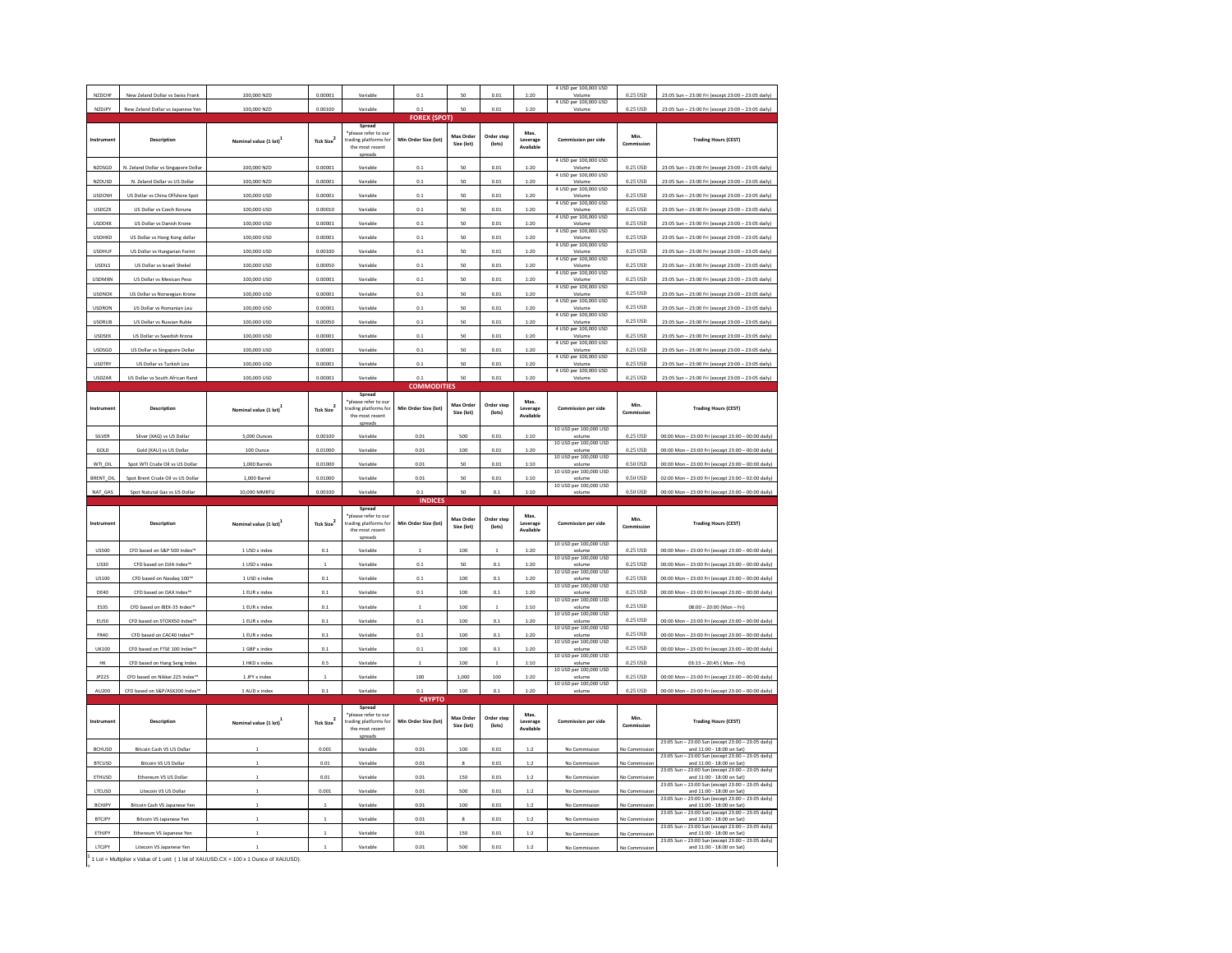| NZDCHF        |                                      |                                    |                        |                                                                                       |                                       |                         |                      |                               | 4 USD per 100,000 USD                         |                       |                                                                                                                   |
|---------------|--------------------------------------|------------------------------------|------------------------|---------------------------------------------------------------------------------------|---------------------------------------|-------------------------|----------------------|-------------------------------|-----------------------------------------------|-----------------------|-------------------------------------------------------------------------------------------------------------------|
|               | New Zeland Dollar vs Swiss Frank     | 100,000 NZD                        | 0.00001                | Variable                                                                              | 0.1                                   | 50                      | 0.01                 | 1:20                          | Volume<br>4 USD per 100,000 USD               | 0.25 USD              | 23:05 Sun - 23:00 Fri (except 23:00 - 23:05 daily)                                                                |
| NZDJPY        | New Zeland Dollar vs Japanese Yen    | 100,000 NZD                        | 0.00100                | Variable                                                                              | 0.1                                   | 50                      | 0.01                 | 1:20                          | Volume                                        | 0.25 USD              | 23:05 Sun - 23:00 Fri (except 23:00 - 23:05 daily)                                                                |
|               |                                      |                                    |                        |                                                                                       | <b>FOREX (SPOT)</b>                   |                         |                      |                               |                                               |                       |                                                                                                                   |
| Instrument    | Description                          | Nominal value (1 lot)              | Tick Size <sup>2</sup> | Spread<br>*please refer to our<br>trading platforms for<br>the most recent<br>spreads | Min Order Size (lot)                  | Max Order<br>Size (lot) | Order step<br>(lots) | Max.<br>Leverage<br>Available | Commission per side                           | Min.<br>Commission    | <b>Trading Hours (CEST)</b>                                                                                       |
| NZDSGD        | N. Zeland Dollar vs Singapore Dollar | 100,000 NZD                        | 0.00001                | Variable                                                                              | 0.1                                   | 50                      | 0.01                 | 1:20                          | 4 USD per 100,000 USD                         | 0.25 USD              | 23:05 Sun - 23:00 Fri (except 23:00 - 23:05 daily)                                                                |
| NZDUSD        | N. Zeland Dollar vs US Dollar        | 100,000 NZD                        | 0.00001                | Variable                                                                              | 0.1                                   | 50                      | 0.01                 | 1:20                          | 4 USD per 100,000 USD<br>Volume               | 0.25 USD              | 23:05 Sun - 23:00 Fri (except 23:00 - 23:05 daily)                                                                |
| <b>USDCNH</b> | US Dollar vs China Offshore Spot     | 100,000 USD                        | 0.00001                | Variable                                                                              | 0.1                                   | 50                      | 0.01                 | 1:20                          | 4 USD per 100,000 USD<br>Volum                | 0.25 USD              | 23:05 Sun - 23:00 Fri (except 23:00 - 23:05 daily)                                                                |
| <b>USDCZK</b> | US Dollar vs Czech Koruna            | 100,000 USD                        | 0.00010                | Variable                                                                              | 0.1                                   | 50                      | 0.01                 | 1:20                          | 4 USD per 100,000 USD<br>Volume               | 0.25 USD              | 23:05 Sun - 23:00 Fri (except 23:00 - 23:05 daily)                                                                |
| <b>USDDKK</b> | US Dollar vs Danish Krone            | 100,000 USD                        | 0.00001                | Variable                                                                              | 0.1                                   | 50                      | 0.01                 | 1:20                          | 4 USD per 100,000 USD<br>Volume               | 0.25 USD              | 23:05 Sun - 23:00 Fri (except 23:00 - 23:05 daily)                                                                |
| <b>USDHKD</b> | US Dollar vs Hong Kong dollar        | 100,000 USD                        | 0.00001                | Variable                                                                              | 0.1                                   | 50                      | 0.01                 | 1:20                          | 4 USD per 100,000 USD<br>Volum                | 0.25 USD              | 23:05 Sun - 23:00 Fri (except 23:00 - 23:05 daily)                                                                |
| <b>USDHUF</b> | US Dollar vs Hungarian Forint        | 100,000 USD                        | 0.00100                | Variable                                                                              | 0.1                                   | 50                      | 0.01                 | 1:20                          | 4 USD per 100,000 USD<br>Volume               | 0.25 USD              | 23:05 Sun - 23:00 Fri (except 23:00 - 23:05 daily)                                                                |
| <b>USDILS</b> | US Dollar vs Israeli Shekel          | 100,000 USD                        | 0.00050                | Variable                                                                              | 0.1                                   | 50                      | 0.01                 | 1:20                          | 4 USD per 100,000 USD<br>Volume               | 0.25 USD              | 23:05 Sun - 23:00 Fri (except 23:00 - 23:05 daily)                                                                |
| <b>USDMXN</b> | US Dollar vs Mexican Peso            | 100,000 USD                        | 0.00001                | Variable                                                                              | 0.1                                   | 50                      | 0.01                 | 1:20                          | 4 USD per 100,000 USD<br>Volum                | 0.25 USD              | 23:05 Sun - 23:00 Fri (except 23:00 - 23:05 daily)                                                                |
| <b>USDNOK</b> | US Dollar vs Norwegian Krone         | 100,000 USD                        | 0.00001                | Variable                                                                              | 0.1                                   | 50                      | 0.01                 | 1:20                          | 4 USD per 100,000 USD<br>Volume               | 0.25 USD              | 23:05 Sun - 23:00 Fri (except 23:00 - 23:05 daily)                                                                |
| <b>USDRON</b> | US Dollar vs Romanian Leu            | 100,000 USD                        | 0.00001                | Variable                                                                              | 0.1                                   | 50                      | 0.01                 | 1:20                          | 4 USD per 100,000 USD<br>Volume               | 0.25 USD              | 23:05 Sun - 23:00 Fri (except 23:00 - 23:05 daily)                                                                |
| <b>USDRUB</b> | US Dollar vs Russian Ruble           | 100,000 USD                        | 0.00050                | Variable                                                                              | 0.1                                   | 50                      | 0.01                 | 1:20                          | 4 USD per 100,000 USD<br>Volum                | 0.25 USD              | 23:05 Sun - 23:00 Fri (except 23:00 - 23:05 daily)                                                                |
| USDSEK        | US Dollar vs Swedish Krona           | 100,000 USD                        | 0.00001                | Variable                                                                              | 0.1                                   | 50                      | 0.01                 | 1:20                          | 4 USD per 100,000 USD<br>Volume               | 0.25 USD              | 23:05 Sun - 23:00 Fri (except 23:00 - 23:05 daily)                                                                |
| <b>USDSGD</b> | US Dollar vs Singapore Dollar        | 100,000 USD                        | 0.00001                | Variable                                                                              | 0.1                                   | 50                      | 0.01                 | 1:20                          | 4 USD per 100,000 USD<br>Volume               | 0.25 USD              | 23:05 Sun - 23:00 Fri (except 23:00 - 23:05 daily)                                                                |
| <b>USDTRY</b> | US Dollar vs Turkish Lira            | 100,000 USD                        | 0.00001                | Variable                                                                              | 0.1                                   | 50                      | 0.01                 | 1:20                          | 4 USD per 100,000 USD<br>Volume               | 0.25 USD              | 23:05 Sun - 23:00 Fri (except 23:00 - 23:05 daily)                                                                |
| USDZAR        | US Dollar vs South African Rand      | 100,000 USD                        | 0.00001                | Variable                                                                              | 0.1                                   | 50                      | 0.01                 | 1:20                          | 4 USD per 100,000 USD<br>Volume               | 0.25 USD              | 23:05 Sun - 23:00 Fri (except 23:00 - 23:05 daily)                                                                |
|               |                                      |                                    |                        |                                                                                       | <b>COMMODITIES</b>                    |                         |                      |                               |                                               |                       |                                                                                                                   |
|               |                                      |                                    |                        | Spread                                                                                |                                       |                         |                      |                               |                                               |                       |                                                                                                                   |
| Instrument    | Description                          | Nominal value (1 lot) <sup>1</sup> | Tick Size <sup>2</sup> | please refer to our<br>trading platforms for<br>the most recent<br>spread             | Min Order Size (lot)                  | Max Order<br>Size (lot) | Order step<br>(lots) | Max.<br>Leverage<br>Available | Commission per side<br>10 USD per 100,000 USD | Min.<br>Commission    | <b>Trading Hours (CEST)</b>                                                                                       |
| SILVER        | Silver (XAG) vs US Dollar            | 5,000 Ounces                       | 0.00100                | Variable                                                                              | 0.01                                  | 500                     | 0.01                 | 1:10                          | volume<br>10 USD per 100,000 USD              | 0.25 USD              | 00:00 Mon - 23:00 Fri (except 23:00 - 00:00 daily)                                                                |
| GOLD          | Gold (XAU) vs US Dollar              | 100 Ounce                          | 0.01000                | Variable                                                                              | 0.01                                  | 100                     | 0.01                 | 1:20                          | volume<br>10 USD per 100,000 USD              | 0.25 USD              | 00:00 Mon - 23:00 Fri (except 23:00 - 00:00 daily)                                                                |
| WTI OIL       | Spot WTI Crude Oil vs US Dolla       | 1,000 Barrels                      | 0.01000                | Variable                                                                              | 0.01                                  | 50                      | 0.01                 | 1:10                          | 10 USD per 100,000 USD                        | 0.50 USD              | 00:00 Mon - 23:00 Fri (except 23:00 - 00:00 daily)                                                                |
| BRENT_OIL     | Spot Brent Crude Oil vs US Dollar    | 1,000 Barrel                       | 0.01000                | Variable                                                                              | 0.01                                  | 50                      | 0.01                 | 1:10                          | volume                                        | $0.50 \ \mathrm{USD}$ | 02:00 Mon - 23:00 Fri (except 23:00 - 02:00 daily)                                                                |
| NAT GAS       | Spot Natural Gas vs US Dollar        | 10.000 MMBTU                       | 0.00100                | Variable                                                                              | 0.1                                   | 50                      | 0.1                  | 1:10                          | 10 USD per 100,000 USD<br>volume              | 0.50 USD              | 00:00 Mon - 23:00 Fri (except 23:00 - 00:00 daily)                                                                |
|               |                                      |                                    |                        |                                                                                       | <b>INDICES</b>                        |                         |                      |                               |                                               |                       |                                                                                                                   |
| Instrument    | Description                          | Nominal value (1 lot)              | Tick Size <sup>2</sup> | Spread<br>"please refer to our<br>trading platforms for<br>the most recent<br>coraado | Min Order Size (lot)                  | Max Order<br>Size (lot) | Order step<br>(lots) | Max.<br>Leverage<br>Available | <b>Commission per side</b>                    | Min.<br>Commission    | <b>Trading Hours (CEST)</b>                                                                                       |
| <b>US500</b>  | CFD based on S&P 500 Index™          |                                    |                        |                                                                                       |                                       |                         |                      |                               |                                               |                       |                                                                                                                   |
|               |                                      | 1 USD x index                      | 0.1                    | Variable                                                                              | $\ddot{\phantom{a}}$                  | 100                     | $\ddot{\phantom{a}}$ | 1:20                          | 10 USD per 100,000 USD<br>volume              | 0.25 USD              | 00:00 Mon - 23:00 Fri (except 23:00 - 00:00 daily)                                                                |
| <b>US30</b>   | CFD based on DJIA Inde               | 1 USD x index                      |                        | Variable                                                                              | 0.1                                   | 50                      | 0.1                  | 1:20                          | 10 USD per 100,000 USD<br>volt                | 0.25 USD              | 00:00 Mon - 23:00 Fri (except 23:00 - 00:00 daily)                                                                |
| <b>US100</b>  | CFD based on Nasdag 100™             | 1 USD x index                      | 0.1                    | Variable                                                                              | 0.1                                   | 100                     | 0.1                  | 1:20                          | 10 USD per 100,000 USD<br>volume              | 0.25 USD              | 00:00 Mon - 23:00 Fri (except 23:00 - 00:00 daily)                                                                |
| <b>DE40</b>   | CFD based on DAX Index™              | 1 EUR x index                      | 0.1                    | Variable                                                                              | 0.1                                   | 100                     | 0.1                  | 1:20                          | 10 USD per 100,000 USD<br>volume              | 0.25 USD              | 00:00 Mon - 23:00 Fri (except 23:00 - 00:00 daily)                                                                |
| <b>ES35</b>   | CFD based on IBEX-35 Inde            | 1 EUR x index                      | 0.1                    | Variable                                                                              | $\mathbf 1$                           | 100                     | $\mathbf{1}$         | 1:10                          | 10 USD per 100,000 USD<br>volu                | 0.25 USD              | $08:00 - 20:00$ (Mon - Fri)                                                                                       |
| EU50          | CFD based on STOXX50 Index™          | 1 EUR x index                      | 0.1                    | Variable                                                                              | 0.1                                   | 100                     | 0.1                  | 1:20                          | 10 USD per 100,000 USD<br>volume              | 0.25 USD              | 00:00 Mon - 23:00 Fri (except 23:00 - 00:00 daily)                                                                |
| FR40          | CFD based on CAC40 Index™            | 1 EUR x index                      | 0.1                    | Variable                                                                              | 0.1                                   | 100                     | 0.1                  | 1:20                          | 10 USD per 100,000 USD<br>volume              | 0.25 USD              | 00:00 Mon - 23:00 Fri (except 23:00 - 00:00 daily)                                                                |
| <b>UK100</b>  | CFD based on FTSE 100 Index          | 1 GBP x index                      | 0.1                    | Variabl                                                                               | 0.1                                   | 100                     | 0.1                  | 1:20                          | 10 USD per 100,000 USD<br>volu                | 0.25 USD              | 00:00 Mon - 23:00 Fri (except 23:00 - 00:00 daily)                                                                |
| <b>HK</b>     | CFD based on Hang Seng Index         | 1 HKD x index                      | 0.5                    | Variable                                                                              | $\ddot{\phantom{a}}$                  | 100                     | $\ddot{\phantom{a}}$ | 1:10                          | 10 USD per 100,000 USD<br>volume              | 0.25 USD              | 03:15 - 20:45 ( Mon - Fri)                                                                                        |
| JP225         | CFD based on Nikkei 225 Index™       | 1 JPY x index                      | $\mathbf{1}$           | Variable                                                                              | 100                                   | 1.000                   | 100                  | 1:20                          | 10 USD per 100,000 USD<br>volume              | 0.25 USD              | 00:00 Mon - 23:00 Fri (except 23:00 - 00:00 daily)                                                                |
| AU200         | CFD based on S&P/ASX200 Index™       | 1 AUD x index                      | 0.1                    | Variable                                                                              | 0.1                                   | 100                     | 0.1                  | 1:20                          | 10 USD per 100,000 USD<br>volume              | 0.25 USD              | 00:00 Mon - 23:00 Fri (except 23:00 - 00:00 daily                                                                 |
| Instrument    | Description                          | Nominal value (1 lot)              | Tick Size <sup>2</sup> | Spread<br>please refer to our<br>trading platforms for<br>the most recent             | <b>CRYPTO</b><br>Min Order Size (lot) | Max Order<br>Size (lot) | Order step<br>(lots) | Max.<br>Leverage<br>Available | <b>Commission per side</b>                    | Min.<br>Commission    | <b>Trading Hours (CEST)</b>                                                                                       |
| <b>BCHUSD</b> | Bitcoin Cash VS US Dollar            |                                    | 0.001                  | Variable                                                                              | 0.01                                  | 100                     | 0.01                 | 1:2                           | No Commission                                 | No Commis             | 23:05 Sun - 23:00 Sun (except 23:00 - 23:05 daily)                                                                |
| <b>BTCUSD</b> | <b>Bitcoin VS US Dollar</b>          |                                    | 0.01                   | Variable                                                                              | 0.01                                  | $\circ$                 | 0.01                 | 1:2                           | No Commission                                 | No Cor                | and 11:00 - 18:00 on Sat)<br>- 23:00 Sun (except 23:00 - 23:05 daily)<br>23:05 Sun -<br>and 11:00 - 18:00 on Sat) |
| ETHUSD        | Ethereum VS US Dolla                 |                                    | 0.01                   | Variable                                                                              | 0.01                                  | 150                     | 0.01                 | 1:2                           | No Commission                                 | No Cor                | 23:05 Sun - 23:00 Sun (except 23:00 - 23:05 daily)<br>and 11:00 - 18:00 on Sat)                                   |
| LTCUSD        | Litecoin VS US Dollar                |                                    | 0.001                  | Variable                                                                              | 0.01                                  | 500                     | 0.01                 | 1:2                           | No Commission                                 | No Commissio          | 23:05 Sun - 23:00 Sun (except 23:00 - 23:05 daily)<br>and 11:00 - 18:00 on Sat)                                   |
| BCHJPY        | Bitcoin Cash VS Japanese Yen         |                                    |                        | Variable                                                                              | 0.01                                  | 100                     | 0.01                 | 1:2                           | No Commission                                 | No Con                | 23:05 Sun<br>23:00 Sun (except 23:00 - 23:05 daily)<br>and 11:00 - 18:00 on Sat)                                  |
| <b>BTCJPY</b> | Bitcoin VS Japanese Yen              |                                    |                        | Variable                                                                              | 0.01                                  |                         | 0.01                 | 1:2                           | No Commission                                 | No Con                | 23:05 Sun - 23:00 Sun (except 23:00 - 23:05 daily)<br>and 11:00 - 18:00 on Sat)                                   |
| ETHJPY        | Ethereum VS Japanese Yen             |                                    |                        | Variable                                                                              | 0.01                                  | 150                     | 0.01                 | 1:2                           | No Commission                                 | No Commissio          | 23:05 Sun - 23:00 Sun (except 23:00 - 23:05 daily)<br>and 11:00 - 18:00 on Sat)                                   |
| LTCJPY        | Litecoin VS Japanese Yen             |                                    | $\ddot{\phantom{a}}$   | Variable                                                                              | 0.01                                  | 500                     | 0.01                 | 1:2                           | No Commission                                 | No Co                 | 23:05 Sun - 23:00 Sun (except 23:00 - 23:05 daily)<br>and 11:00 - 18:00 on Sat)                                   |

1 1 Lot = Multiplier x Value of 1 unit ( 1 lot of XAUUSD.CX = 100 x 1 Ounce of XAUUSD).<br>?